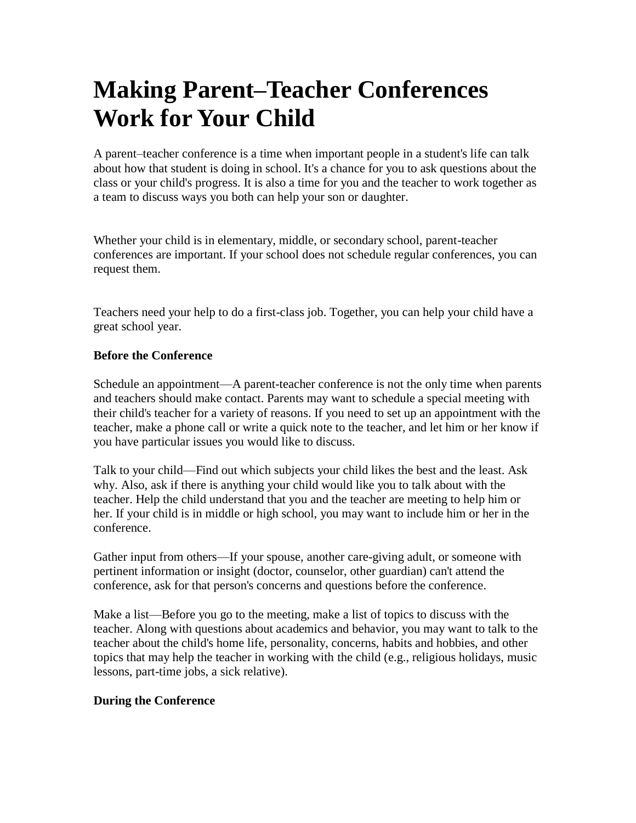## **Making Parent–Teacher Conferences Work for Your Child**

A parent–teacher conference is a time when important people in a student's life can talk about how that student is doing in school. It's a chance for you to ask questions about the class or your child's progress. It is also a time for you and the teacher to work together as a team to discuss ways you both can help your son or daughter.

Whether your child is in elementary, middle, or secondary school, parent-teacher conferences are important. If your school does not schedule regular conferences, you can request them.

Teachers need your help to do a first-class job. Together, you can help your child have a great school year.

## **Before the Conference**

Schedule an appointment—A parent-teacher conference is not the only time when parents and teachers should make contact. Parents may want to schedule a special meeting with their child's teacher for a variety of reasons. If you need to set up an appointment with the teacher, make a phone call or write a quick note to the teacher, and let him or her know if you have particular issues you would like to discuss.

Talk to your child—Find out which subjects your child likes the best and the least. Ask why. Also, ask if there is anything your child would like you to talk about with the teacher. Help the child understand that you and the teacher are meeting to help him or her. If your child is in middle or high school, you may want to include him or her in the conference.

Gather input from others—If your spouse, another care-giving adult, or someone with pertinent information or insight (doctor, counselor, other guardian) can't attend the conference, ask for that person's concerns and questions before the conference.

Make a list—Before you go to the meeting, make a list of topics to discuss with the teacher. Along with questions about academics and behavior, you may want to talk to the teacher about the child's home life, personality, concerns, habits and hobbies, and other topics that may help the teacher in working with the child (e.g., religious holidays, music lessons, part-time jobs, a sick relative).

## **During the Conference**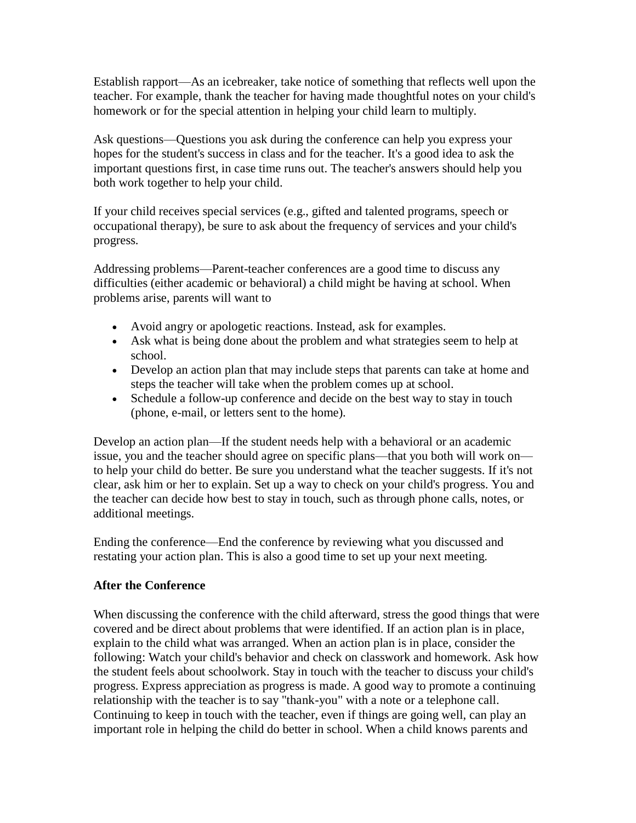Establish rapport—As an icebreaker, take notice of something that reflects well upon the teacher. For example, thank the teacher for having made thoughtful notes on your child's homework or for the special attention in helping your child learn to multiply.

Ask questions—Questions you ask during the conference can help you express your hopes for the student's success in class and for the teacher. It's a good idea to ask the important questions first, in case time runs out. The teacher's answers should help you both work together to help your child.

If your child receives special services (e.g., gifted and talented programs, speech or occupational therapy), be sure to ask about the frequency of services and your child's progress.

Addressing problems—Parent-teacher conferences are a good time to discuss any difficulties (either academic or behavioral) a child might be having at school. When problems arise, parents will want to

- Avoid angry or apologetic reactions. Instead, ask for examples.
- Ask what is being done about the problem and what strategies seem to help at school.
- Develop an action plan that may include steps that parents can take at home and steps the teacher will take when the problem comes up at school.
- Schedule a follow-up conference and decide on the best way to stay in touch (phone, e-mail, or letters sent to the home).

Develop an action plan—If the student needs help with a behavioral or an academic issue, you and the teacher should agree on specific plans—that you both will work on to help your child do better. Be sure you understand what the teacher suggests. If it's not clear, ask him or her to explain. Set up a way to check on your child's progress. You and the teacher can decide how best to stay in touch, such as through phone calls, notes, or additional meetings.

Ending the conference—End the conference by reviewing what you discussed and restating your action plan. This is also a good time to set up your next meeting.

## **After the Conference**

When discussing the conference with the child afterward, stress the good things that were covered and be direct about problems that were identified. If an action plan is in place, explain to the child what was arranged. When an action plan is in place, consider the following: Watch your child's behavior and check on classwork and homework. Ask how the student feels about schoolwork. Stay in touch with the teacher to discuss your child's progress. Express appreciation as progress is made. A good way to promote a continuing relationship with the teacher is to say "thank-you" with a note or a telephone call. Continuing to keep in touch with the teacher, even if things are going well, can play an important role in helping the child do better in school. When a child knows parents and